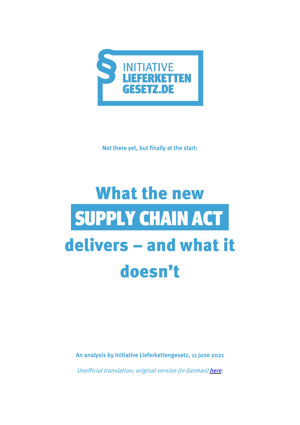

Not there yet, but finally at the start:

# What the new **SUPPLY CHAIN ACT.** delivers – and what it doesn't

An analysis by Initiative Lieferkettengesetz, 11 June 2021

Unofficial translation; original version (in German) [here.](https://lieferkettengesetz.de/wp-content/uploads/2021/06/Initiative-Lieferkettengesetz_Analyse_Was-das-neue-Gesetz-liefert.pdf)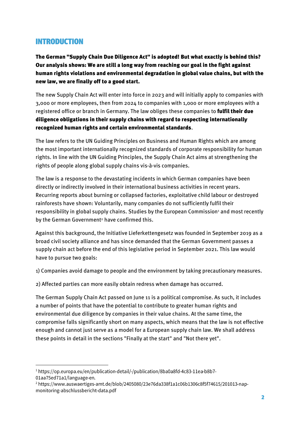### INTRODUCTION

The German "Supply Chain Due Diligence Act" is adopted! But what exactly is behind this? Our analysis shows: We are still a long way from reaching our goal in the fight against human rights violations and environmental degradation in global value chains, but with the new law, we are finally off to a good start.

The new Supply Chain Act will enter into force in 2023 and will initially apply to companies with 3,000 or more employees, then from 2024 to companies with 1,000 or more employees with a registered office or branch in Germany. The law obliges these companies to **fulfil their due** diligence obligations in their supply chains with regard to respecting internationally recognized human rights and certain environmental standards.

The law refers to the UN Guiding Principles on Business and Human Rights which are among the most important internationally recognized standards of corporate responsibility for human rights. In line with the UN Guiding Principles, the Supply Chain Act aims at strengthening the rights of people along global supply chains vis-à-vis companies.

The law is a response to the devastating incidents in which German companies have been directly or indirectly involved in their international business activities in recent years. Recurring reports about burning or collapsed factories, exploitative child labour or destroyed rainforests have shown: Voluntarily, many companies do not sufficiently fulfil their responsibility in global supply chains. Studies by the European Commission<sup>1</sup> and most recently by the German Government<sup>2</sup> have confirmed this.

Against this background, the Initiative Lieferkettengesetz was founded in September 2019 as a broad civil society alliance and has since demanded that the German Government passes a supply chain act before the end of this legislative period in September 2021. This law would have to pursue two goals:

1) Companies avoid damage to people and the environment by taking precautionary measures.

2) Affected parties can more easily obtain redress when damage has occurred.

The German Supply Chain Act passed on June 11 is a political compromise. As such, it includes a number of points that have the potential to contribute to greater human rights and environmental due diligence by companies in their value chains. At the same time, the compromise falls significantly short on many aspects, which means that the law is not effective enough and cannot just serve as a model for a European supply chain law. We shall address these points in detail in the sections "Finally at the start" and "Not there yet".

<sup>&</sup>lt;sup>1</sup> https://op.europa.eu/en/publication-detail/-/publication/8ba0a8fd-4c83-11ea-b8b7-01aa75ed71a1/language-en.

 $^{2}$  https://www.auswaertiges-amt.de/blob/2405080/23e76da338f1a1c06b1306c8f5f74615/201013-napmonitoring-abschlussbericht-data.pdf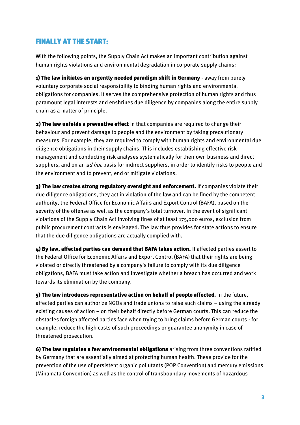## FINALLY AT THE START:

With the following points, the Supply Chain Act makes an important contribution against human rights violations and environmental degradation in corporate supply chains:

1) The law initiates an urgently needed paradigm shift in Germany - away from purely voluntary corporate social responsibility to binding human rights and environmental obligations for companies. It serves the comprehensive protection of human rights and thus paramount legal interests and enshrines due diligence by companies along the entire supply chain as a matter of principle.

2) The law unfolds a preventive effect in that companies are required to change their behaviour and prevent damage to people and the environment by taking precautionary measures. For example, they are required to comply with human rights and environmental due diligence obligations in their supply chains. This includes establishing effective risk management and conducting risk analyses systematically for their own business and direct suppliers, and on an *ad hoc* basis for indirect suppliers, in order to identify risks to people and the environment and to prevent, end or mitigate violations.

3) The law creates strong regulatory oversight and enforcement. If companies violate their due diligence obligations, they act in violation of the law and can be fined by the competent authority, the Federal Office for Economic Affairs and Export Control (BAFA), based on the severity of the offense as well as the company's total turnover. In the event of significant violations of the Supply Chain Act involving fines of at least 175,000 euros, exclusion from public procurement contracts is envisaged. The law thus provides for state actions to ensure that the due diligence obligations are actually complied with.

4) By law, affected parties can demand that BAFA takes action. If affected parties assert to the Federal Office for Economic Affairs and Export Control (BAFA) that their rights are being violated or directly threatened by a company's failure to comply with its due diligence obligations, BAFA must take action and investigate whether a breach has occurred and work towards its elimination by the company.

5) The law introduces representative action on behalf of people affected. In the future, affected parties can authorize NGOs and trade unions to raise such claims – using the already existing causes of action – on their behalf directly before German courts. This can reduce the obstacles foreign affected parties face when trying to bring claims before German courts - for example, reduce the high costs of such proceedings or guarantee anonymity in case of threatened prosecution.

6) The law regulates a few environmental obligations arising from three conventions ratified by Germany that are essentially aimed at protecting human health. These provide for the prevention of the use of persistent organic pollutants (POP Convention) and mercury emissions (Minamata Convention) as well as the control of transboundary movements of hazardous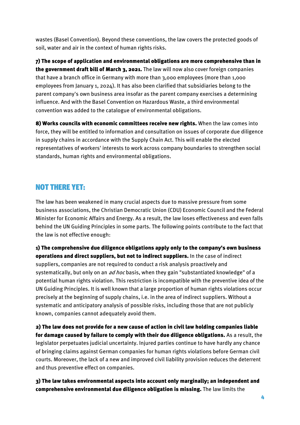wastes (Basel Convention). Beyond these conventions, the law covers the protected goods of soil, water and air in the context of human rights risks.

7) The scope of application and environmental obligations are more comprehensive than in the government draft bill of March 3, 2021. The law will now also cover foreign companies that have a branch office in Germany with more than 3,000 employees (more than 1,000 employees from January 1, 2024). It has also been clarified that subsidiaries belong to the parent company's own business area insofar as the parent company exercises a determining influence. And with the Basel Convention on Hazardous Waste, a third environmental convention was added to the catalogue of environmental obligations.

8) Works councils with economic committees receive new rights. When the law comes into force, they will be entitled to information and consultation on issues of corporate due diligence in supply chains in accordance with the Supply Chain Act. This will enable the elected representatives of workers' interests to work across company boundaries to strengthen social standards, human rights and environmental obligations.

#### NOT THERE YET:

The law has been weakened in many crucial aspects due to massive pressure from some business associations, the Christian Democratic Union (CDU) Economic Council and the Federal Minister for Economic Affairs and Energy. As a result, the law loses effectiveness and even falls behind the UN Guiding Principles in some parts. The following points contribute to the fact that the law is not effective enough:

1) The comprehensive due diligence obligations apply only to the company's own business operations and direct suppliers, but not to indirect suppliers. In the case of indirect suppliers, companies are not required to conduct a risk analysis proactively and systematically, but only on an *ad hoc* basis, when they gain "substantiated knowledge" of a potential human rights violation. This restriction is incompatible with the preventive idea of the UN Guiding Principles. It is well known that a large proportion of human rights violations occur precisely at the beginning of supply chains, i.e. in the area of indirect suppliers. Without a systematic and anticipatory analysis of possible risks, including those that are not publicly known, companies cannot adequately avoid them.

2) The law does not provide for a new cause of action in civil law holding companies liable for damage caused by failure to comply with their due diligence obligations. As a result, the legislator perpetuates judicial uncertainty. Injured parties continue to have hardly any chance of bringing claims against German companies for human rights violations before German civil courts. Moreover, the lack of a new and improved civil liability provision reduces the deterrent and thus preventive effect on companies.

3) The law takes environmental aspects into account only marginally; an independent and comprehensive environmental due diligence obligation is missing. The law limits the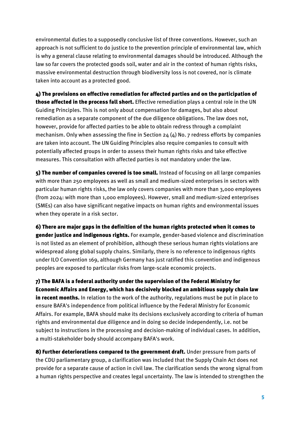environmental duties to a supposedly conclusive list of three conventions. However, such an approach is not sufficient to do justice to the prevention principle of environmental law, which is why a general clause relating to environmental damages should be introduced. Although the law so far covers the protected goods soil, water and air in the context of human rights risks, massive environmental destruction through biodiversity loss is not covered, nor is climate taken into account as a protected good.

4) The provisions on effective remediation for affected parties and on the participation of those affected in the process fall short. Effective remediation plays a central role in the UN Guiding Principles. This is not only about compensation for damages, but also about remediation as a separate component of the due diligence obligations. The law does not, however, provide for affected parties to be able to obtain redress through a complaint mechanism. Only when assessing the fine in Section 24 (4) No. 7 redress efforts by companies are taken into account. The UN Guiding Principles also require companies to consult with potentially affected groups in order to assess their human rights risks and take effective measures. This consultation with affected parties is not mandatory under the law.

5) The number of companies covered is too small. Instead of focusing on all large companies with more than 250 employees as well as small and medium-sized enterprises in sectors with particular human rights risks, the law only covers companies with more than 3,000 employees (from 2024: with more than 1,000 employees). However, small and medium-sized enterprises (SMEs) can also have significant negative impacts on human rights and environmental issues when they operate in a risk sector.

6) There are major gaps in the definition of the human rights protected when it comes to gender justice and indigenous rights. For example, gender-based violence and discrimination is not listed as an element of prohibition, although these serious human rights violations are widespread along global supply chains. Similarly, there is no reference to indigenous rights under ILO Convention 169, although Germany has just ratified this convention and indigenous peoples are exposed to particular risks from large-scale economic projects.

7) The BAFA is a federal authority under the supervision of the Federal Ministry for Economic Affairs and Energy, which has decisively blocked an ambitious supply chain law **in recent months.** In relation to the work of the authority, regulations must be put in place to ensure BAFA's independence from political influence by the Federal Ministry for Economic Affairs. For example, BAFA should make its decisions exclusively according to criteria of human rights and environmental due diligence and in doing so decide independently, i.e. not be subject to instructions in the processing and decision-making of individual cases. In addition, a multi-stakeholder body should accompany BAFA's work.

8) Further deteriorations compared to the government draft. Under pressure from parts of the CDU parliamentary group, a clarification was included that the Supply Chain Act does not provide for a separate cause of action in civil law. The clarification sends the wrong signal from a human rights perspective and creates legal uncertainty. The law is intended to strengthen the